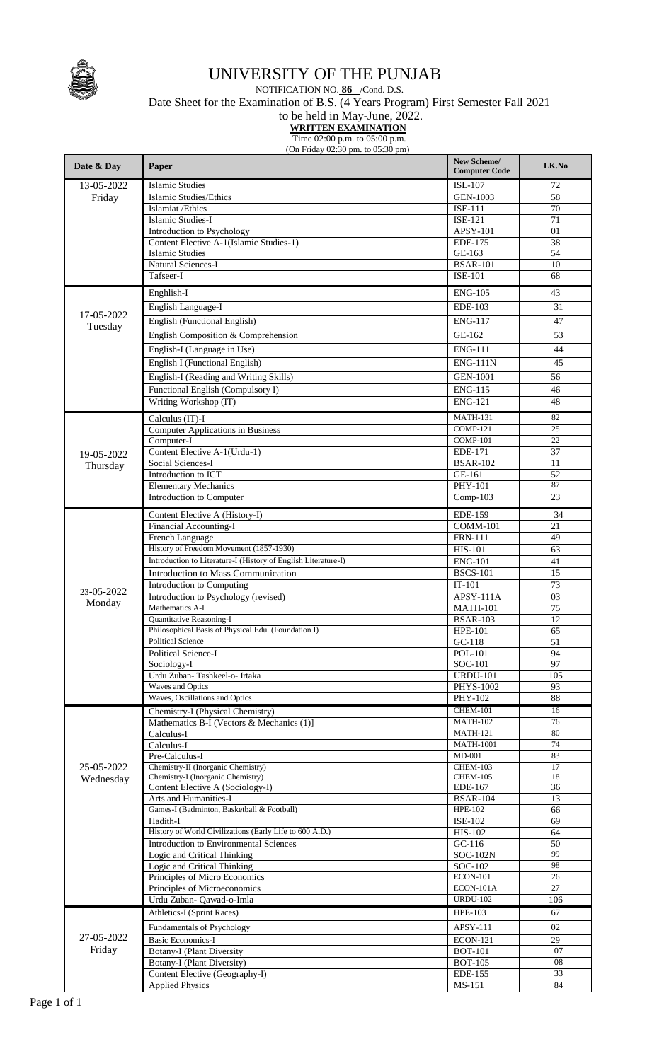

## UNIVERSITY OF THE PUNJAB

NOTIFICATION NO. **86** /Cond. D.S. Date Sheet for the Examination of B.S. (4 Years Program) First Semester Fall 2021

to be held in May-June, 2022.

 **WRITTEN EXAMINATION**

Time 02:00 p.m. to 05:00 p.m. (On Friday 02:30 pm. to 05:30 pm)

| Date & Day              | Paper                                                             | New Scheme/<br><b>Computer Code</b> | LK.No           |
|-------------------------|-------------------------------------------------------------------|-------------------------------------|-----------------|
| 13-05-2022              | <b>Islamic Studies</b>                                            | ISL-107                             | 72              |
| Friday                  | Islamic Studies/Ethics                                            | <b>GEN-1003</b>                     | 58              |
|                         | Islamiat / Ethics                                                 | <b>ISE-111</b>                      | 70              |
|                         | Islamic Studies-I                                                 | ISE-121                             | 71              |
|                         | Introduction to Psychology                                        | APSY-101                            | 01              |
|                         | Content Elective A-1(Islamic Studies-1)                           | EDE-175                             | 38              |
|                         | <b>Islamic Studies</b>                                            | GE-163                              | 54              |
|                         | Natural Sciences-I<br>Tafseer-I                                   | <b>BSAR-101</b><br><b>ISE-101</b>   | 10<br>68        |
|                         |                                                                   |                                     |                 |
|                         | Enghlish-I                                                        | <b>ENG-105</b>                      | 43              |
| 17-05-2022              | English Language-I                                                | EDE-103                             | 31              |
| Tuesday                 | English (Functional English)                                      | <b>ENG-117</b>                      | 47              |
|                         | English Composition & Comprehension                               | GE-162                              | 53              |
|                         | English-I (Language in Use)                                       | <b>ENG-111</b>                      | 44              |
|                         | English I (Functional English)                                    | <b>ENG-111N</b>                     | 45              |
|                         | English-I (Reading and Writing Skills)                            | <b>GEN-1001</b>                     | 56              |
|                         | Functional English (Compulsory I)                                 | <b>ENG-115</b>                      | 46              |
|                         | Writing Workshop (IT)                                             | <b>ENG-121</b>                      | 48              |
|                         | Calculus (IT)-I                                                   | <b>MATH-131</b>                     | 82              |
|                         | <b>Computer Applications in Business</b>                          | <b>COMP-121</b>                     | 25              |
|                         | Computer-I                                                        | COMP-101                            | 22              |
| 19-05-2022              | Content Elective A-1(Urdu-1)                                      | EDE-171                             | 37              |
| Thursday                | Social Sciences-I                                                 | <b>BSAR-102</b>                     | 11              |
|                         | Introduction to ICT                                               | GE-161                              | 52              |
|                         | <b>Elementary Mechanics</b>                                       | PHY-101                             | 87              |
|                         | Introduction to Computer                                          | $Comp-103$                          | 23              |
|                         | Content Elective A (History-I)                                    | <b>EDE-159</b>                      | 34              |
|                         | Financial Accounting-I                                            | <b>COMM-101</b>                     | 21              |
|                         | French Language                                                   | <b>FRN-111</b>                      | 49              |
|                         | History of Freedom Movement (1857-1930)                           | <b>HIS-101</b>                      | 63              |
|                         | Introduction to Literature-I (History of English Literature-I)    | <b>ENG-101</b>                      | 41              |
|                         | Introduction to Mass Communication                                | <b>BSCS-101</b>                     | 15              |
| 23-05-2022              | Introduction to Computing<br>Introduction to Psychology (revised) | $IT-101$<br>APSY-111A               | 73<br>03        |
| Monday                  | Mathematics A-I                                                   | <b>MATH-101</b>                     | $\overline{75}$ |
|                         | Quantitative Reasoning-I                                          | <b>BSAR-103</b>                     | 12              |
|                         | Philosophical Basis of Physical Edu. (Foundation I)               | <b>HPE-101</b>                      | 65              |
|                         | <b>Political Science</b>                                          | $GC-118$                            | 51              |
|                         | Political Science-I                                               | <b>POL-101</b>                      | 94              |
|                         | Sociology-I                                                       | SOC-101                             | 97              |
|                         | Urdu Zuban-Tashkeel-o- Irtaka                                     | <b>URDU-101</b>                     | 105             |
|                         | Waves and Optics                                                  | <b>PHYS-1002</b>                    | 93              |
|                         | Waves, Oscillations and Optics                                    | PHY-102                             | 88              |
| 25-05-2022<br>Wednesday | Chemistry-I (Physical Chemistry)                                  | <b>CHEM-101</b><br><b>MATH-102</b>  | 16<br>76        |
|                         | Mathematics B-I (Vectors & Mechanics (1)]<br>Calculus-I           | <b>MATH-121</b>                     | 80              |
|                         | Calculus-I                                                        | <b>MATH-1001</b>                    | 74              |
|                         | Pre-Calculus-I                                                    | $MD-001$                            | 83              |
|                         | Chemistry-II (Inorganic Chemistry)                                | CHEM-103                            | 17              |
|                         | Chemistry-I (Inorganic Chemistry)                                 | <b>CHEM-105</b>                     | 18              |
|                         | Content Elective A (Sociology-I)<br>Arts and Humanities-I         | EDE-167                             | 36              |
|                         | Games-I (Badminton, Basketball & Football)                        | <b>BSAR-104</b><br><b>HPE-102</b>   | 13<br>66        |
|                         | Hadith-I                                                          | <b>ISE-102</b>                      | 69              |
|                         | History of World Civilizations (Early Life to 600 A.D.)           | HIS-102                             | 64              |
|                         | Introduction to Environmental Sciences                            | $GC-116$                            | 50              |
|                         | Logic and Critical Thinking                                       | <b>SOC-102N</b>                     | 99              |
|                         | Logic and Critical Thinking                                       | SOC-102                             | 98              |
|                         | Principles of Micro Economics                                     | <b>ECON-101</b>                     | 26              |
|                         | Principles of Microeconomics                                      | $ECON-101A$<br><b>URDU-102</b>      | 27              |
|                         | Urdu Zuban- Qawad-o-Imla                                          |                                     | 106             |
|                         | Athletics-I (Sprint Races)                                        | <b>HPE-103</b>                      | 67              |
|                         | Fundamentals of Psychology                                        | APSY-111                            | 02              |
| 27-05-2022<br>Friday    | <b>Basic Economics-I</b>                                          | <b>ECON-121</b>                     | 29              |
|                         | <b>Botany-I (Plant Diversity</b>                                  | <b>BOT-101</b><br><b>BOT-105</b>    | 07<br>08        |
|                         | Botany-I (Plant Diversity)<br>Content Elective (Geography-I)      | EDE-155                             | 33              |
|                         | <b>Applied Physics</b>                                            | MS-151                              | 84              |